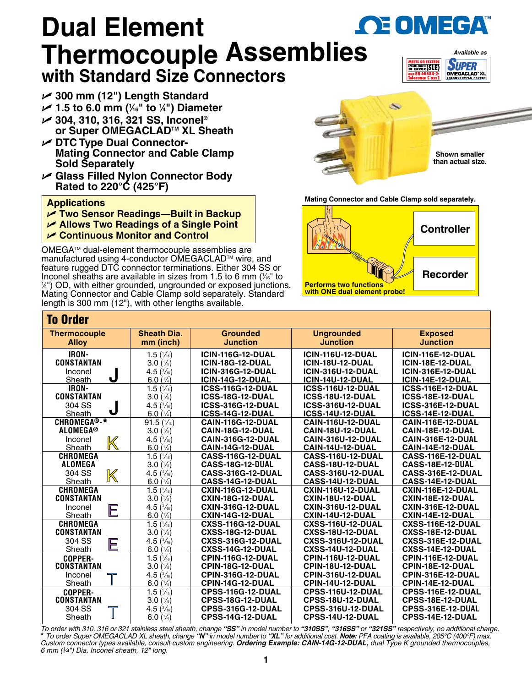## **OE OMEGA Dual Element Thermocouple Assembli[es](www.omega.com) with Standard Size Connectors**



- U **300 mm (12") Length Standard**
- U **1.5 to 6.0 mm (1 ⁄16" to 1 ⁄4") Diameter**
- U **304, 310, 316, 321 SS, Inconel® or Super OMEGACLADTM XL Sheath**
- $⊯$  **DTC Type Dual Connector-Mating Connector and Cable Clamp Sold Separately**
- U **Glass Filled Nylon Connector Body Rated to 220°C (425°F)**

## **Applications**

- U **Two Sensor Readings—Built in Backup**
- U **Allows Two Readings of a Single Point**
- U **Continuous Monitor and Control**

OMEGATM dual-element thermocouple assemblies are manufactured using 4-conductor OMEGACLAD™ wire, and feature rugged DTC connector terminations. Either 304 SS or Inconel sheaths are available in sizes from 1.5 to 6 mm ( $\frac{\mathcal{U}_{6}}{6}$  to 1/<sub>6</sub>" to 1/6" to 1/6" to 1/6" to 1/6" to 1/6" to 1/6" to 1/6" to 1/6" to 1/6" to 1/6" to 1/6" to 1/6" to 1/6" to 1/6" to 1/6" to 1/6" to 1/6" to  $\frac{1}{4}$ ") OD, with either grounded, ungrounded or exposed junctions. Mating Connector and Cable Clamp sold separately. Standard length is 300 mm (12"), with other lengths available.



**Mating Connector and Cable Clamp sold separately.** 



## To Order

| TU VIUGI                                  |                      |                          |                          |                          |  |  |  |  |  |
|-------------------------------------------|----------------------|--------------------------|--------------------------|--------------------------|--|--|--|--|--|
| <b>Sheath Dia.</b><br><b>Thermocouple</b> |                      | <b>Grounded</b>          | <b>Ungrounded</b>        | <b>Exposed</b>           |  |  |  |  |  |
| <b>Alloy</b>                              | mm (inch)            | <b>Junction</b>          | <b>Junction</b>          | <b>Junction</b>          |  |  |  |  |  |
| IRON-                                     | 1.5 $(\frac{1}{16})$ | <b>ICIN-116G-12-DUAL</b> | <b>ICIN-116U-12-DUAL</b> | <b>ICIN-116E-12-DUAL</b> |  |  |  |  |  |
| <b>CONSTANTAN</b>                         | $3.0\,(1/8)$         | ICIN-18G-12-DUAL         | <b>ICIN-18U-12-DUAL</b>  | ICIN-18E-12-DUAL         |  |  |  |  |  |
| Inconel                                   | 4.5 $(\frac{3}{16})$ | <b>ICIN-316G-12-DUAL</b> | <b>ICIN-316U-12-DUAL</b> | <b>ICIN-316E-12-DUAL</b> |  |  |  |  |  |
| J<br>Sheath                               | 6.0 $(1/4)$          | ICIN-14G-12-DUAL         | <b>ICIN-14U-12-DUAL</b>  | ICIN-14E-12-DUAL         |  |  |  |  |  |
| IRON-                                     | $1.5(\frac{1}{16})$  | <b>ICSS-116G-12-DUAL</b> | <b>ICSS-116U-12-DUAL</b> | ICSS-116E-12-DUAL        |  |  |  |  |  |
| <b>CONSTANTAN</b>                         | 3.0(1/8)             | ICSS-18G-12-DUAL         | ICSS-18U-12-DUAL         | ICSS-18E-12-DUAL         |  |  |  |  |  |
| 304 SS                                    | 4.5 $(\frac{3}{16})$ | <b>ICSS-316G-12-DUAL</b> | <b>ICSS-316U-12-DUAL</b> | ICSS-316E-12-DUAL        |  |  |  |  |  |
| J<br>Sheath                               | 6.0 $(1/4)$          | ICSS-14G-12-DUAL         | ICSS-14U-12-DUAL         | ICSS-14E-12-DUAL         |  |  |  |  |  |
| CHROMEGA <sup>®</sup> -*                  | 91.5(1/16)           | CAIN-116G-12-DUAL        | <b>CAIN-116U-12-DUAL</b> | CAIN-116E-12-DUAL        |  |  |  |  |  |
| <b>ALOMEGA®</b>                           | $3.0\,(1/8)$         | CAIN-18G-12-DUAL         | CAIN-18U-12-DUAL         | CAIN-18E-12-DUAL         |  |  |  |  |  |
| Inconel                                   | 4.5 $(\frac{3}{16})$ | <b>CAIN-316G-12-DUAL</b> | <b>CAIN-316U-12-DUAL</b> | CAIN-316E-12-DUAL        |  |  |  |  |  |
| K<br>Sheath                               | 6.0 $(1/4)$          | CAIN-14G-12-DUAL         | CAIN-14U-12-DUAL         | CAIN-14E-12-DUAL         |  |  |  |  |  |
| <b>CHROMEGA</b>                           | 1.5 $(\frac{1}{16})$ | CASS-116G-12-DUAL        | CASS-116U-12-DUAL        | CASS-116E-12-DUAL        |  |  |  |  |  |
| <b>ALOMEGA</b>                            | $3.0(^{1}/_{8})$     | CASS-18G-12-DUAL         | CASS-18U-12-DUAL         | CASS-18E-12-DUAL         |  |  |  |  |  |
| 304 SS<br>K                               | 4.5 $(\frac{3}{16})$ | CASS-316G-12-DUAL        | CASS-316U-12-DUAL        | CASS-316E-12-DUAL        |  |  |  |  |  |
| Sheath                                    | 6.0 $(1/4)$          | <b>CASS-14G-12-DUAL</b>  | <b>CASS-14U-12-DUAL</b>  | <b>CASS-14E-12-DUAL</b>  |  |  |  |  |  |
| <b>CHROMEGA</b>                           | 1.5(1/16)            | CXIN-116G-12-DUAL        | <b>CXIN-116U-12-DUAL</b> | <b>CXIN-116E-12-DUAL</b> |  |  |  |  |  |
| <b>CONSTANTAN</b>                         | $3.0\,(1/3)$         | CXIN-18G-12-DUAL         | CXIN-18U-12-DUAL         | CXIN-18E-12-DUAL         |  |  |  |  |  |
| Inconel<br>E                              | 4.5 $(\frac{3}{16})$ | <b>CXIN-316G-12-DUAL</b> | <b>CXIN-316U-12-DUAL</b> | <b>CXIN-316E-12-DUAL</b> |  |  |  |  |  |
| Sheath                                    | 6.0 $(1/4)$          | <b>CXIN-14G-12-DUAL</b>  | CXIN-14U-12-DUAL         | CXIN-14E-12-DUAL         |  |  |  |  |  |
| <b>CHROMEGA</b>                           | 1.5 $(\frac{1}{16})$ | <b>CXSS-116G-12-DUAL</b> | <b>CXSS-116U-12-DUAL</b> | CXSS-116E-12-DUAL        |  |  |  |  |  |
| <b>CONSTANTAN</b>                         | 3.0(1/s)             | CXSS-18G-12-DUAL         | CXSS-18U-12-DUAL         | CXSS-18E-12-DUAL         |  |  |  |  |  |
| 304 SS<br>E                               | 4.5 $(\frac{3}{16})$ | <b>CXSS-316G-12-DUAL</b> | <b>CXSS-316U-12-DUAL</b> | CXSS-316E-12-DUAL        |  |  |  |  |  |
| Sheath                                    | 6.0 $(1/4)$          | CXSS-14G-12-DUAL         | CXSS-14U-12-DUAL         | CXSS-14E-12-DUAL         |  |  |  |  |  |
| COPPER-                                   | 1.5 $(\frac{1}{16})$ | CPIN-116G-12-DUAL        | CPIN-116U-12-DUAL        | <b>CPIN-116E-12-DUAL</b> |  |  |  |  |  |
| <b>CONSTANTAN</b>                         | 3.0(1/8)             | CPIN-18G-12-DUAL         | CPIN-18U-12-DUAL         | CPIN-18E-12-DUAL         |  |  |  |  |  |
| Inconel<br>$\overline{\top}$              | 4.5 $(\frac{3}{16})$ | CPIN-316G-12-DUAL        | CPIN-316U-12-DUAL        | CPIN-316E-12-DUAL        |  |  |  |  |  |
| Sheath                                    | 6.0 $(1/4)$          | CPIN-14G-12-DUAL         | CPIN-14U-12-DUAL         | CPIN-14E-12-DUAL         |  |  |  |  |  |
| <b>COPPER-</b>                            | 1.5(1/16)            | CPSS-116G-12-DUAL        | CPSS-116U-12-DUAL        | CPSS-116E-12-DUAL        |  |  |  |  |  |
| CONSTANTAN                                | $3.0\,(1/3)$         | <b>CPSS-18G-12-DUAL</b>  | <b>CPSS-18U-12-DUAL</b>  | <b>CPSS-18E-12-DUAL</b>  |  |  |  |  |  |
| 304 SS                                    | 4.5 $(\frac{3}{16})$ | CPSS-316G-12-DUAL        | CPSS-316U-12-DUAL        | CPSS-316E-12-DUAL        |  |  |  |  |  |
| Sheath                                    | 6.0 $(\frac{1}{4})$  | <b>CPSS-14G-12-DUAL</b>  | <b>CPSS-14U-12-DUAL</b>  | <b>CPSS-14E-12-DUAL</b>  |  |  |  |  |  |

To order with 310, 316 or 321 stainless steel sheath, change "**SS**" in model number to "**310SS**", "**316SS**" or "**321SS**" respectively, no additional charge.<br>\* To order Super OMEGACLAD XL sheath, change "**N**" in model numbe *Custom connector types available, consult custom engineering. Ordering Example: CAIN-14G-12-DUAL, dual Type K grounded thermocouples, 6 mm (1⁄4") Dia. Inconel sheath, 12" long.*